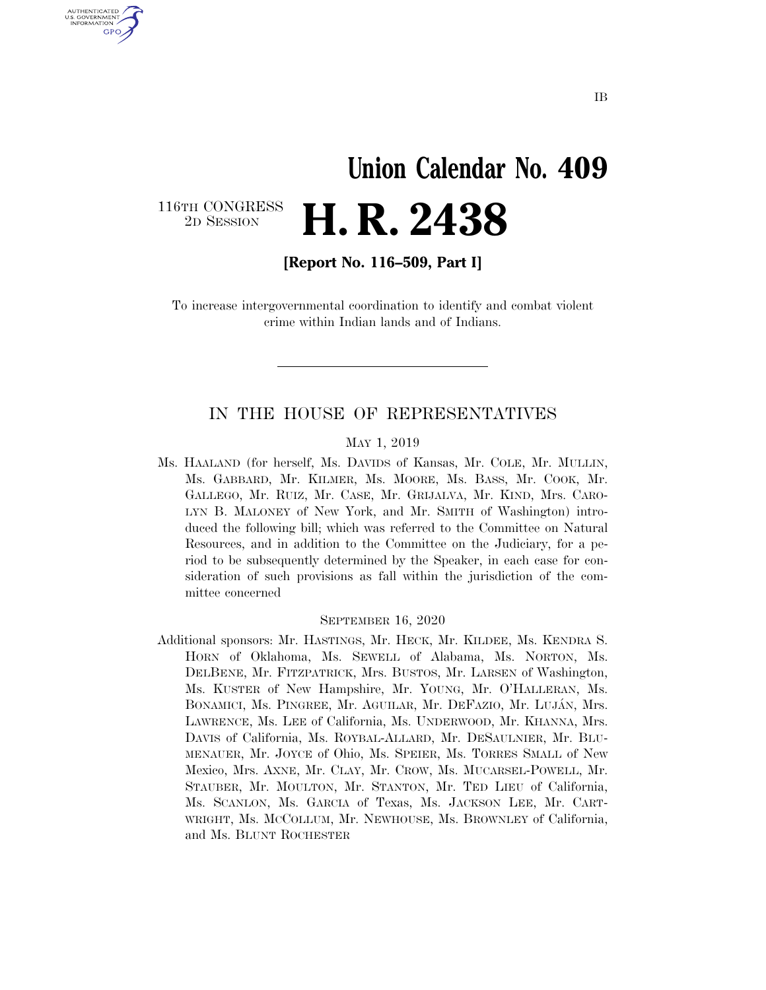# **Union Calendar No. 409**  2D SESSION **H. R. 2438**

116TH CONGRESS<br>2D SESSION

U.S. GOVERNMENT GPO

**[Report No. 116–509, Part I]** 

To increase intergovernmental coordination to identify and combat violent crime within Indian lands and of Indians.

### IN THE HOUSE OF REPRESENTATIVES

#### MAY 1, 2019

Ms. HAALAND (for herself, Ms. DAVIDS of Kansas, Mr. COLE, Mr. MULLIN, Ms. GABBARD, Mr. KILMER, Ms. MOORE, Ms. BASS, Mr. COOK, Mr. GALLEGO, Mr. RUIZ, Mr. CASE, Mr. GRIJALVA, Mr. KIND, Mrs. CARO-LYN B. MALONEY of New York, and Mr. SMITH of Washington) introduced the following bill; which was referred to the Committee on Natural Resources, and in addition to the Committee on the Judiciary, for a period to be subsequently determined by the Speaker, in each case for consideration of such provisions as fall within the jurisdiction of the committee concerned

#### SEPTEMBER 16, 2020

Additional sponsors: Mr. HASTINGS, Mr. HECK, Mr. KILDEE, Ms. KENDRA S. HORN of Oklahoma, Ms. SEWELL of Alabama, Ms. NORTON, Ms. DELBENE, Mr. FITZPATRICK, Mrs. BUSTOS, Mr. LARSEN of Washington, Ms. KUSTER of New Hampshire, Mr. YOUNG, Mr. O'HALLERAN, Ms. BONAMICI, Ms. PINGREE, Mr. AGUILAR, Mr. DEFAZIO, Mr. LUJÁN, Mrs. LAWRENCE, Ms. LEE of California, Ms. UNDERWOOD, Mr. KHANNA, Mrs. DAVIS of California, Ms. ROYBAL-ALLARD, Mr. DESAULNIER, Mr. BLU-MENAUER, Mr. JOYCE of Ohio, Ms. SPEIER, Ms. TORRES SMALL of New Mexico, Mrs. AXNE, Mr. CLAY, Mr. CROW, Ms. MUCARSEL-POWELL, Mr. STAUBER, Mr. MOULTON, Mr. STANTON, Mr. TED LIEU of California, Ms. SCANLON, Ms. GARCIA of Texas, Ms. JACKSON LEE, Mr. CART-WRIGHT, Ms. MCCOLLUM, Mr. NEWHOUSE, Ms. BROWNLEY of California, and Ms. BLUNT ROCHESTER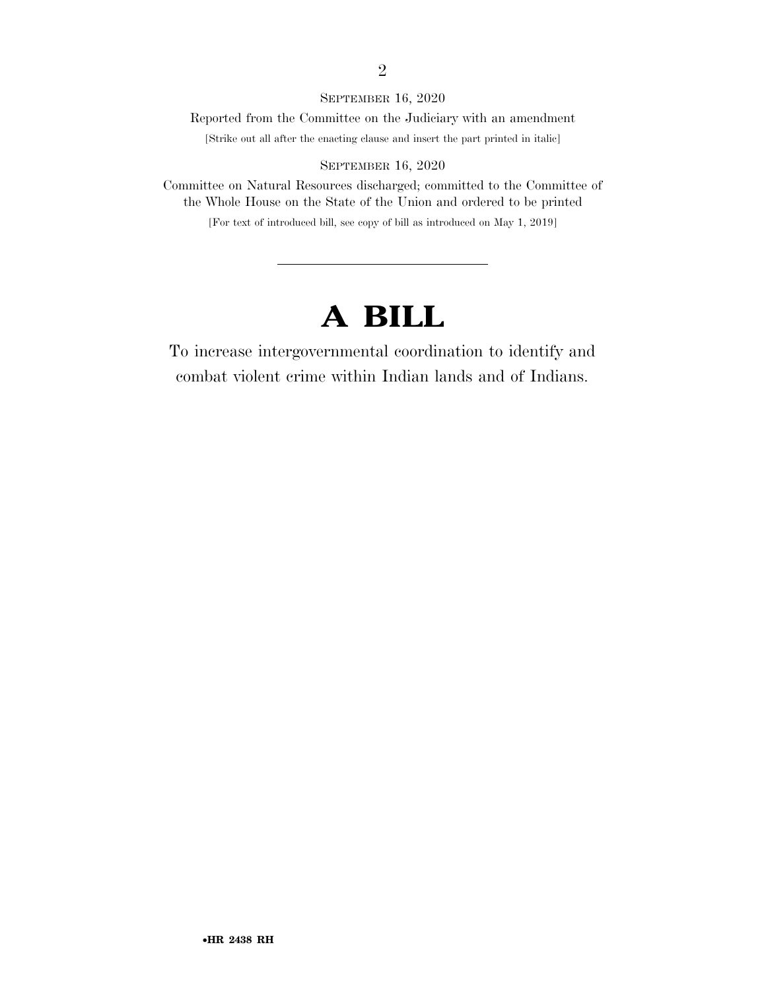#### SEPTEMBER 16, 2020

Reported from the Committee on the Judiciary with an amendment

[Strike out all after the enacting clause and insert the part printed in italic]

#### SEPTEMBER 16, 2020

Committee on Natural Resources discharged; committed to the Committee of the Whole House on the State of the Union and ordered to be printed

[For text of introduced bill, see copy of bill as introduced on May 1, 2019]

## **A BILL**

To increase intergovernmental coordination to identify and combat violent crime within Indian lands and of Indians.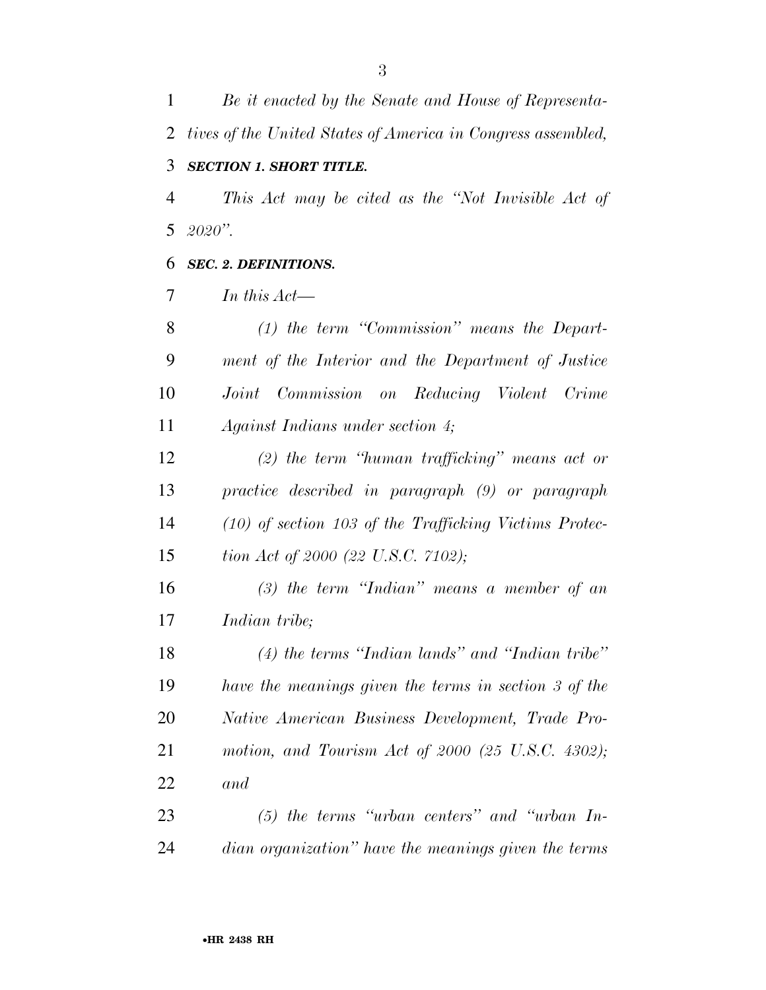*Be it enacted by the Senate and House of Representa- tives of the United States of America in Congress assembled, SECTION 1. SHORT TITLE.* 

 *This Act may be cited as the ''Not Invisible Act of 2020''.* 

### *SEC. 2. DEFINITIONS.*

*In this Act—* 

 *(1) the term ''Commission'' means the Depart- ment of the Interior and the Department of Justice Joint Commission on Reducing Violent Crime Against Indians under section 4;* 

 *(2) the term ''human trafficking'' means act or practice described in paragraph (9) or paragraph (10) of section 103 of the Trafficking Victims Protec-tion Act of 2000 (22 U.S.C. 7102);* 

 *(3) the term ''Indian'' means a member of an Indian tribe;* 

 *(4) the terms ''Indian lands'' and ''Indian tribe'' have the meanings given the terms in section 3 of the Native American Business Development, Trade Pro- motion, and Tourism Act of 2000 (25 U.S.C. 4302); and* 

 *(5) the terms ''urban centers'' and ''urban In-dian organization'' have the meanings given the terms*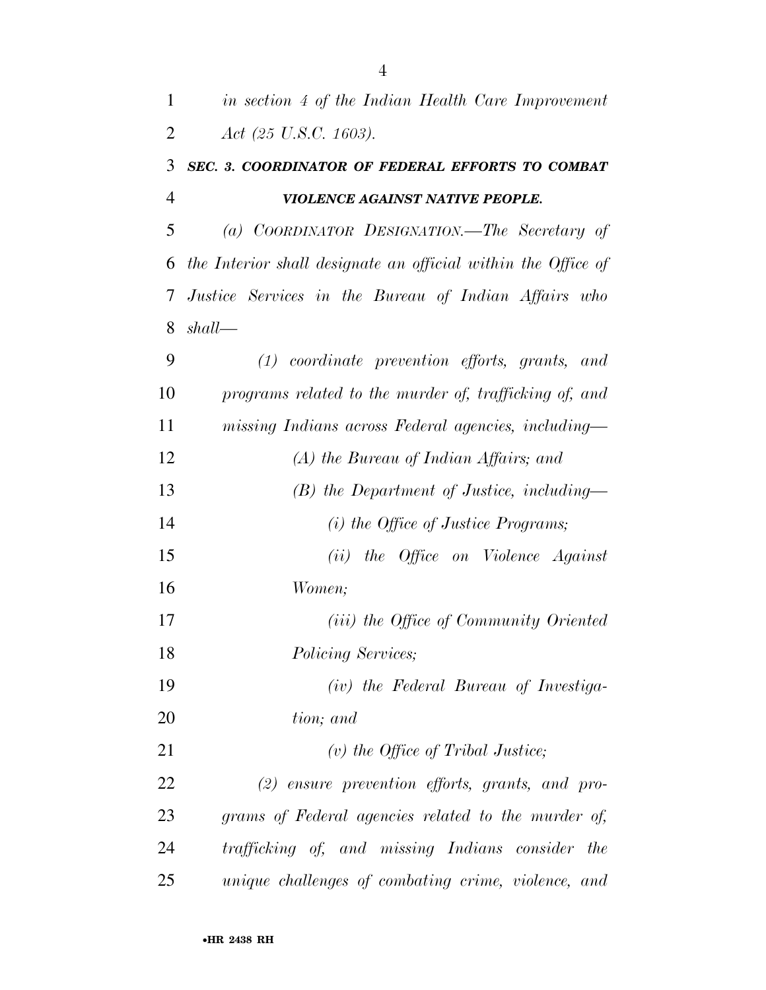| $\mathbf{1}$   | in section 4 of the Indian Health Care Improvement            |
|----------------|---------------------------------------------------------------|
| $\overline{2}$ | Act $(25 \text{ U.S. C. } 1603)$ .                            |
| 3              | SEC. 3. COORDINATOR OF FEDERAL EFFORTS TO COMBAT              |
| $\overline{4}$ | VIOLENCE AGAINST NATIVE PEOPLE.                               |
| 5              | (a) COORDINATOR DESIGNATION.—The Secretary of                 |
| 6              | the Interior shall designate an official within the Office of |
| $\tau$         | Justice Services in the Bureau of Indian Affairs who          |
| 8              | shall                                                         |
| 9              | $(1)$ coordinate prevention efforts, grants, and              |
| 10             | programs related to the murder of, trafficking of, and        |
| 11             | missing Indians across Federal agencies, including—           |
| 12             | $(A)$ the Bureau of Indian Affairs; and                       |
| 13             | $(B)$ the Department of Justice, including—                   |
| 14             | $(i)$ the Office of Justice Programs;                         |
| 15             | (ii) the Office on Violence Against                           |
| 16             | Women;                                                        |
| 17             | (iii) the Office of Community Oriented                        |
| 18             | Policing Services;                                            |
| 19             | (iv) the Federal Bureau of Investiga-                         |
| 20             | tion; and                                                     |
| 21             | $(v)$ the Office of Tribal Justice;                           |
| 22             | $(2)$ ensure prevention efforts, grants, and pro-             |
| 23             | grams of Federal agencies related to the murder of,           |
| 24             | trafficking of, and missing Indians consider the              |
| 25             | unique challenges of combating crime, violence, and           |

•**HR 2438 RH**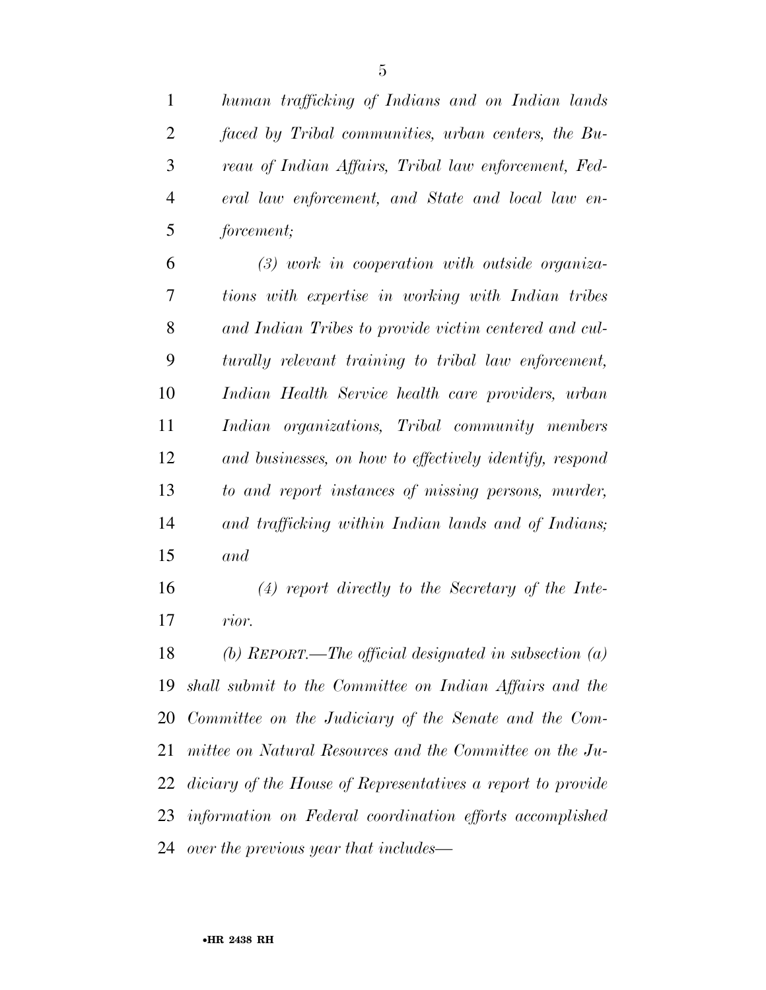*human trafficking of Indians and on Indian lands faced by Tribal communities, urban centers, the Bu- reau of Indian Affairs, Tribal law enforcement, Fed- eral law enforcement, and State and local law en-forcement;* 

 *(3) work in cooperation with outside organiza- tions with expertise in working with Indian tribes and Indian Tribes to provide victim centered and cul- turally relevant training to tribal law enforcement, Indian Health Service health care providers, urban Indian organizations, Tribal community members and businesses, on how to effectively identify, respond to and report instances of missing persons, murder, and trafficking within Indian lands and of Indians; and* 

 *(4) report directly to the Secretary of the Inte-rior.* 

 *(b) REPORT.—The official designated in subsection (a) shall submit to the Committee on Indian Affairs and the Committee on the Judiciary of the Senate and the Com- mittee on Natural Resources and the Committee on the Ju- diciary of the House of Representatives a report to provide information on Federal coordination efforts accomplished over the previous year that includes—*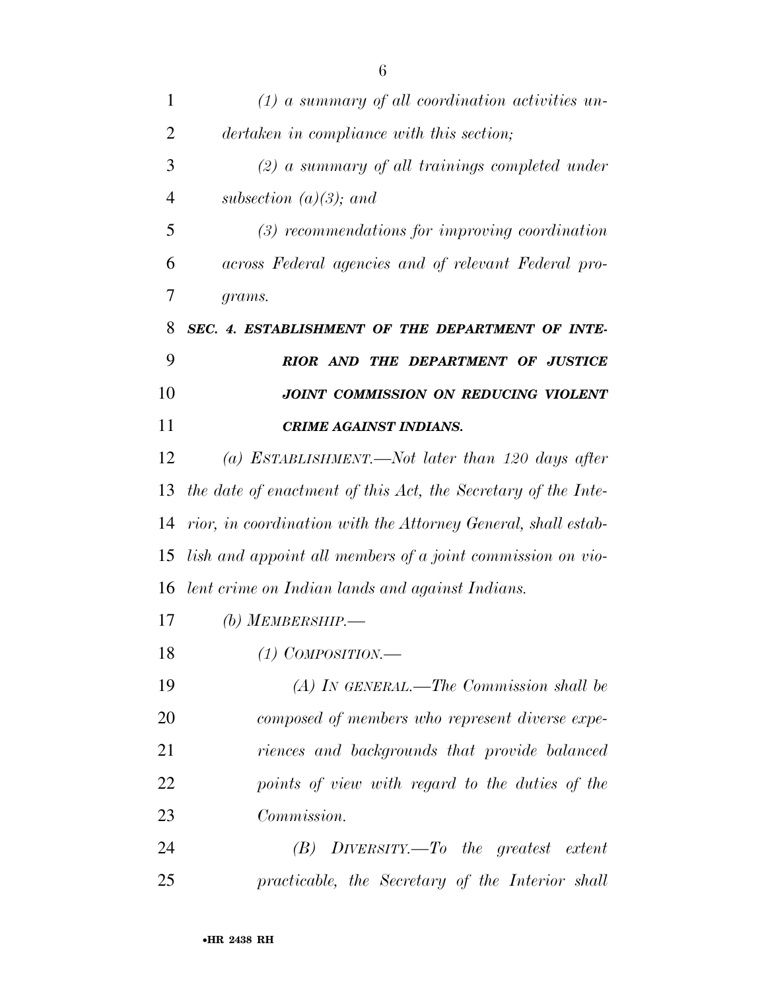| 1              | $(1)$ a summary of all coordination activities un-            |
|----------------|---------------------------------------------------------------|
| $\overline{2}$ | dertaken in compliance with this section;                     |
| 3              | $(2)$ a summary of all trainings completed under              |
| 4              | subsection $(a)(3)$ ; and                                     |
| 5              | $(3)$ recommendations for improving coordination              |
| 6              | across Federal agencies and of relevant Federal pro-          |
| 7              | grams.                                                        |
| 8              | SEC. 4. ESTABLISHMENT OF THE DEPARTMENT OF INTE-              |
| 9              | RIOR AND THE DEPARTMENT OF JUSTICE                            |
| 10             | JOINT COMMISSION ON REDUCING VIOLENT                          |
| 11             | <b>CRIME AGAINST INDIANS.</b>                                 |
| 12             | (a) ESTABLISHMENT.—Not later than 120 days after              |
| 13             | the date of enactment of this Act, the Secretary of the Inte- |
| 14             | rior, in coordination with the Attorney General, shall estab- |
| 15             | lish and appoint all members of a joint commission on vio-    |
| 16             | lent crime on Indian lands and against Indians.               |
| 17             | (b) MEMBERSHIP.—                                              |
| 18             | $(1)$ COMPOSITION.—                                           |
| 19             | $(A)$ IN GENERAL.—The Commission shall be                     |
| 20             | composed of members who represent diverse expe-               |
| 21             | riences and backgrounds that provide balanced                 |
| 22             | points of view with regard to the duties of the               |
| 23             | Commission.                                                   |
| 24             | $(B)$ DIVERSITY.—To the greatest extent                       |
| 25             | practicable, the Secretary of the Interior shall              |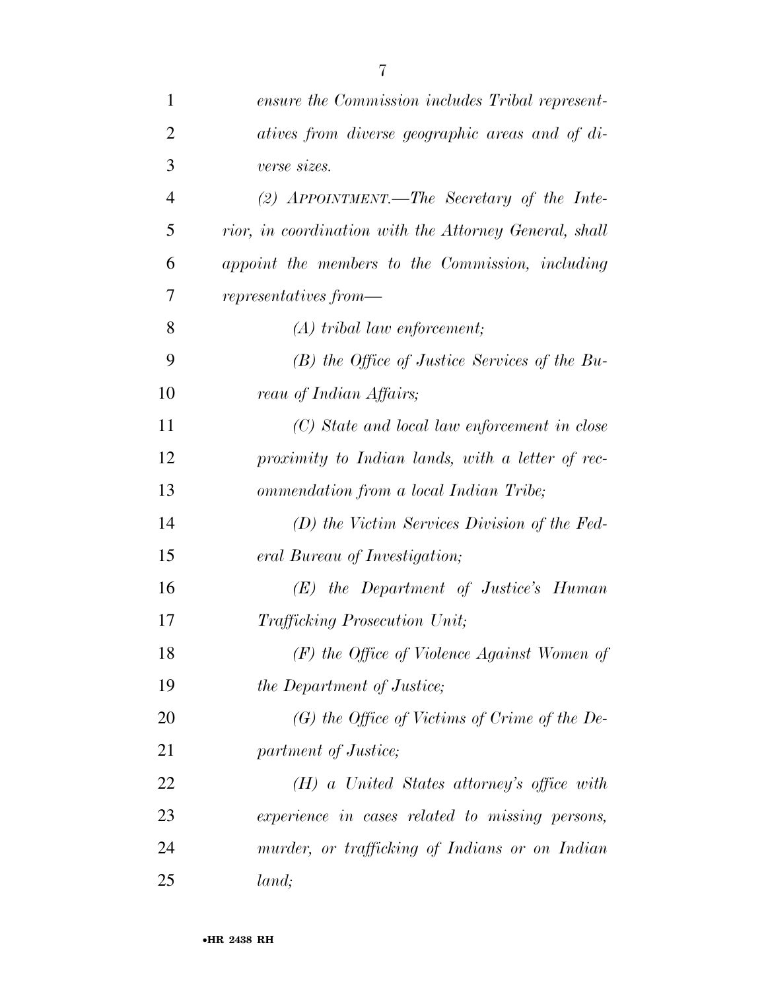| $\mathbf{1}$   | ensure the Commission includes Tribal represent-       |
|----------------|--------------------------------------------------------|
| $\overline{2}$ | atives from diverse geographic areas and of di-        |
| 3              | verse sizes.                                           |
| $\overline{4}$ | (2) APPOINTMENT.—The Secretary of the Inte-            |
| 5              | rior, in coordination with the Attorney General, shall |
| 6              | appoint the members to the Commission, including       |
| 7              | $represents from \text{\textbf{---}}$                  |
| 8              | $(A)$ tribal law enforcement;                          |
| 9              | $(B)$ the Office of Justice Services of the Bu-        |
| 10             | reau of Indian Affairs;                                |
| 11             | (C) State and local law enforcement in close           |
| 12             | proximity to Indian lands, with a letter of rec-       |
| 13             | ommendation from a local Indian Tribe;                 |
| 14             | (D) the Victim Services Division of the Fed-           |
| 15             | eral Bureau of Investigation;                          |
| 16             | $(E)$ the Department of Justice's Human                |
| 17             | <b>Trafficking Prosecution Unit;</b>                   |
| 18             | $(F)$ the Office of Violence Against Women of          |
| 19             | the Department of Justice;                             |
| 20             | $(G)$ the Office of Victims of Crime of the De-        |
| 21             | partment of Justice;                                   |
| 22             | $(H)$ a United States attorney's office with           |
| 23             | experience in cases related to missing persons,        |
| 24             | murder, or trafficking of Indians or on Indian         |
| 25             | land;                                                  |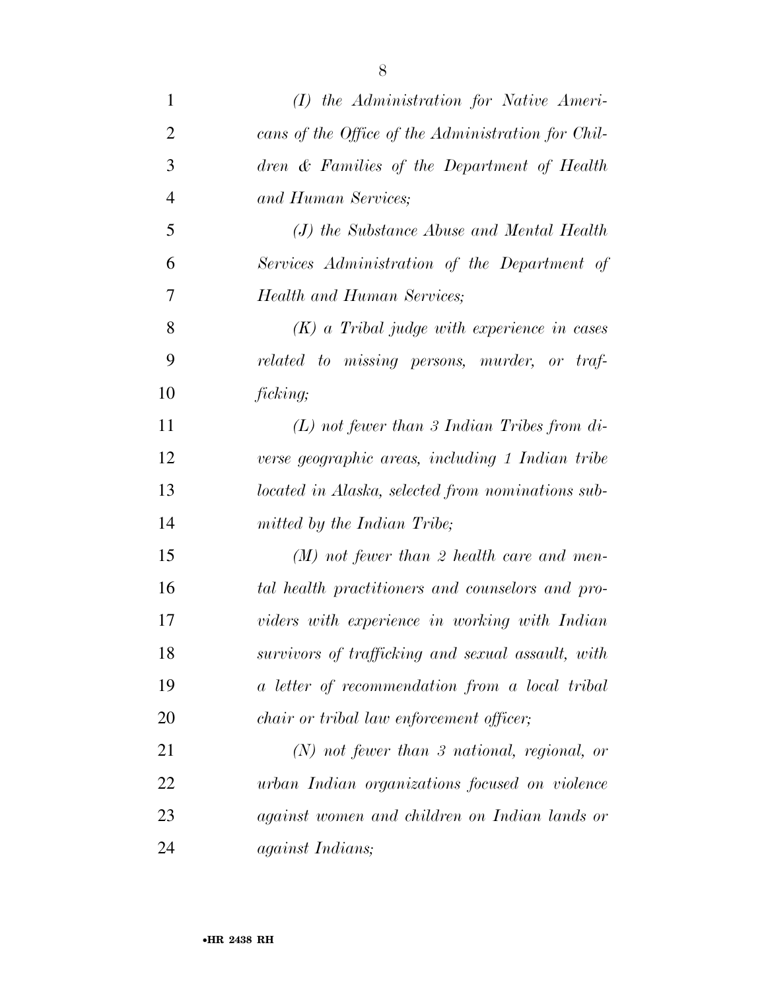| $\mathbf{1}$   | $(I)$ the Administration for Native Ameri-         |
|----------------|----------------------------------------------------|
| $\overline{2}$ | cans of the Office of the Administration for Chil- |
| 3              | dren & Families of the Department of Health        |
| $\overline{4}$ | and Human Services;                                |
| 5              | (J) the Substance Abuse and Mental Health          |
| 6              | Services Administration of the Department of       |
| 7              | <b>Health and Human Services;</b>                  |
| 8              | $(K)$ a Tribal judge with experience in cases      |
| 9              | related to missing persons, murder, or traf-       |
| 10             | ficking;                                           |
| 11             | $(L)$ not fewer than 3 Indian Tribes from di-      |
| 12             | verse geographic areas, including 1 Indian tribe   |
| 13             | located in Alaska, selected from nominations sub-  |
| 14             | mitted by the Indian Tribe;                        |
| 15             | $(M)$ not fewer than 2 health care and men-        |
| 16             | tal health practitioners and counselors and pro-   |
| 17             | viders with experience in working with Indian      |
| 18             | survivors of trafficking and sexual assault, with  |
| 19             | a letter of recommendation from a local tribal     |
| 20             | <i>chair or tribal law enforcement officer;</i>    |
| 21             | $(N)$ not fewer than 3 national, regional, or      |
| 22             | urban Indian organizations focused on violence     |
| 23             | against women and children on Indian lands or      |
| 24             | <i>against Indians</i> ;                           |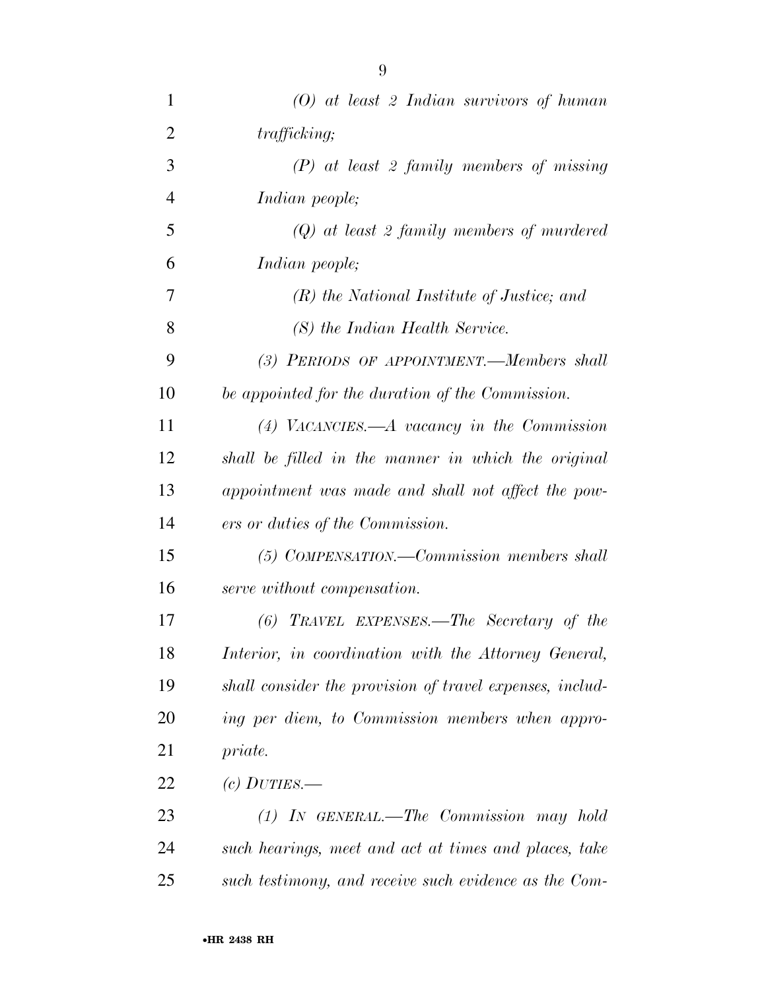| 1              | $(0)$ at least 2 Indian survivors of human               |
|----------------|----------------------------------------------------------|
| $\overline{2}$ | trafficking;                                             |
| 3              | $(P)$ at least 2 family members of missing               |
| $\overline{4}$ | <i>Indian people;</i>                                    |
| 5              | $(Q)$ at least 2 family members of murdered              |
| 6              | Indian people;                                           |
| 7              | $(R)$ the National Institute of Justice; and             |
| 8              | (S) the Indian Health Service.                           |
| 9              | (3) PERIODS OF APPOINTMENT.—Members shall                |
| 10             | be appointed for the duration of the Commission.         |
| 11             | $(4)$ VACANCIES.—A vacancy in the Commission             |
| 12             | shall be filled in the manner in which the original      |
| 13             | appointment was made and shall not affect the pow-       |
| 14             | ers or duties of the Commission.                         |
| 15             | (5) COMPENSATION.—Commission members shall               |
| 16             | serve without compensation.                              |
| 17             | $(6)$ TRAVEL EXPENSES.—The Secretary of the              |
| 18             | Interior, in coordination with the Attorney General,     |
| 19             | shall consider the provision of travel expenses, includ- |
| 20             | ing per diem, to Commission members when appro-          |
| 21             | <i>priate.</i>                                           |
| 22             | (c) $DUTIES$ .                                           |
| 23             | $(1)$ IN GENERAL.—The Commission may hold                |
| 24             | such hearings, meet and act at times and places, take    |
| 25             | such testimony, and receive such evidence as the Com-    |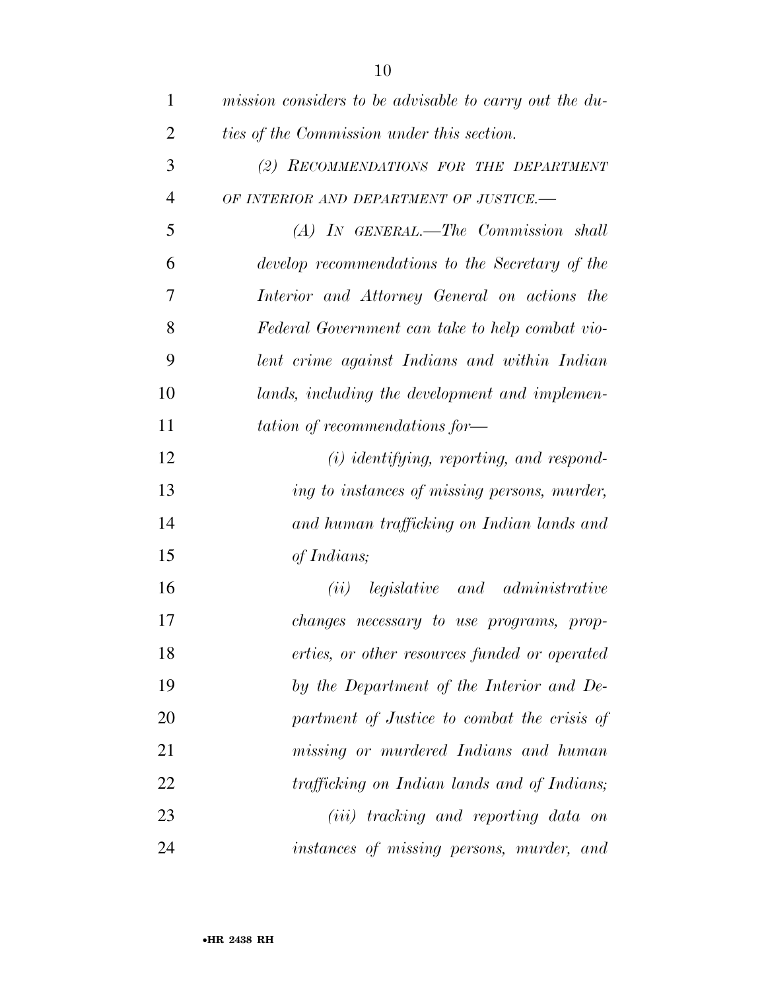| $\mathbf{1}$   | mission considers to be advisable to carry out the du- |
|----------------|--------------------------------------------------------|
| $\overline{2}$ | ties of the Commission under this section.             |
| 3              | (2) RECOMMENDATIONS FOR THE DEPARTMENT                 |
| $\overline{4}$ | OF INTERIOR AND DEPARTMENT OF JUSTICE.-                |
| 5              | (A) IN GENERAL.—The Commission shall                   |
| 6              | develop recommendations to the Secretary of the        |
| 7              | Interior and Attorney General on actions the           |
| 8              | Federal Government can take to help combat vio-        |
| 9              | lent crime against Indians and within Indian           |
| 10             | lands, including the development and implemen-         |
| 11             | tation of recommendations for-                         |
| 12             | $(i)$ identifying, reporting, and respond-             |
| 13             | ing to instances of missing persons, murder,           |
| 14             | and human trafficking on Indian lands and              |
| 15             | of Indians;                                            |
| 16             | (ii) legislative and administrative                    |
| 17             | <i>changes necessary to use programs, prop-</i>        |
| 18             | erties, or other resources funded or operated          |
| 19             | by the Department of the Interior and De-              |
| 20             | partment of Justice to combat the crisis of            |
| 21             | missing or murdered Indians and human                  |
| 22             | trafficking on Indian lands and of Indians;            |
| 23             | ( <i>iii</i> ) tracking and reporting data on          |
| 24             | instances of missing persons, murder, and              |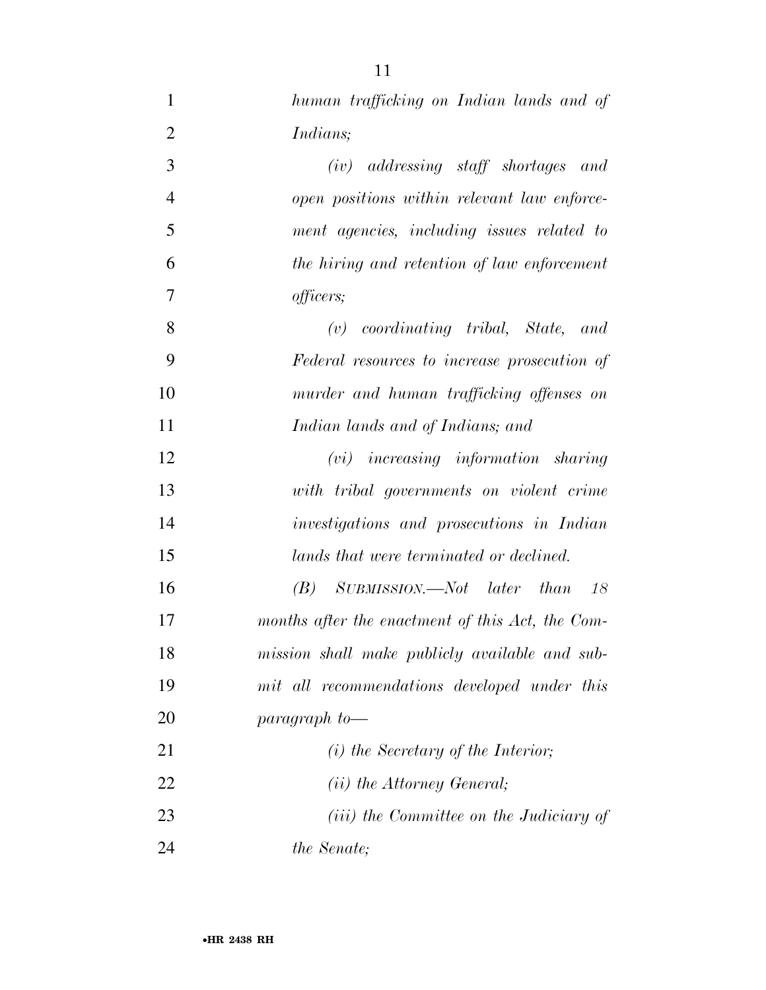| $\mathbf{1}$   | human trafficking on Indian lands and of                         |
|----------------|------------------------------------------------------------------|
| $\overline{2}$ | <i>Indians</i> ;                                                 |
| 3              | $(iv)$ addressing staff shortages and                            |
| $\overline{4}$ | open positions within relevant law enforce-                      |
| 5              | ment agencies, including issues related to                       |
| 6              | the hiring and retention of law enforcement                      |
| 7              | officers;                                                        |
| 8              | $(v)$ coordinating tribal, State, and                            |
| 9              | Federal resources to increase prosecution of                     |
| 10             | murder and human trafficking offenses on                         |
| 11             | Indian lands and of Indians; and                                 |
| 12             | $(vi)$ increasing information sharing                            |
| 13             | with tribal governments on violent crime                         |
| 14             | investigations and prosecutions in Indian                        |
| 15             | lands that were terminated or declined.                          |
| 16             | $SUBMISSION. \text{\textendash} Not \text{later} that 18$<br>(B) |
| 17             | months after the enactment of this Act, the Com-                 |
| 18             | mission shall make publicly available and sub-                   |
| 19             | mit all recommendations developed under this                     |
| 20             | $paramph$ to —                                                   |
| 21             | $(i)$ the Secretary of the Interior;                             |
| 22             | ( <i>ii</i> ) the Attorney General;                              |
| 23             | ( <i>iii</i> ) the Committee on the Judiciary of                 |
| 24             | <i>the Senate</i> ;                                              |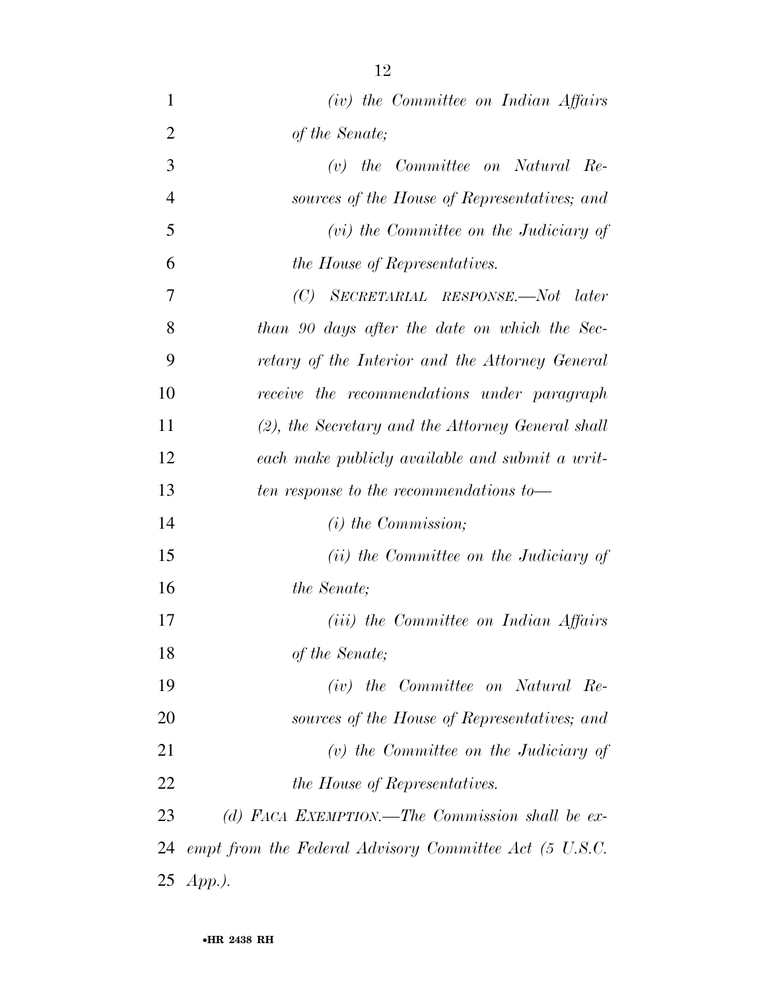*(iv) the Committee on Indian Affairs of the Senate; (v) the Committee on Natural Re- sources of the House of Representatives; and (vi) the Committee on the Judiciary of the House of Representatives. (C) SECRETARIAL RESPONSE.—Not later than 90 days after the date on which the Sec- retary of the Interior and the Attorney General receive the recommendations under paragraph (2), the Secretary and the Attorney General shall each make publicly available and submit a writ- ten response to the recommendations to— (i) the Commission; (ii) the Committee on the Judiciary of the Senate; (iii) the Committee on Indian Affairs of the Senate; (iv) the Committee on Natural Re- sources of the House of Representatives; and (v) the Committee on the Judiciary of the House of Representatives. (d) FACA EXEMPTION.—The Commission shall be ex-*

 *empt from the Federal Advisory Committee Act (5 U.S.C. App.).*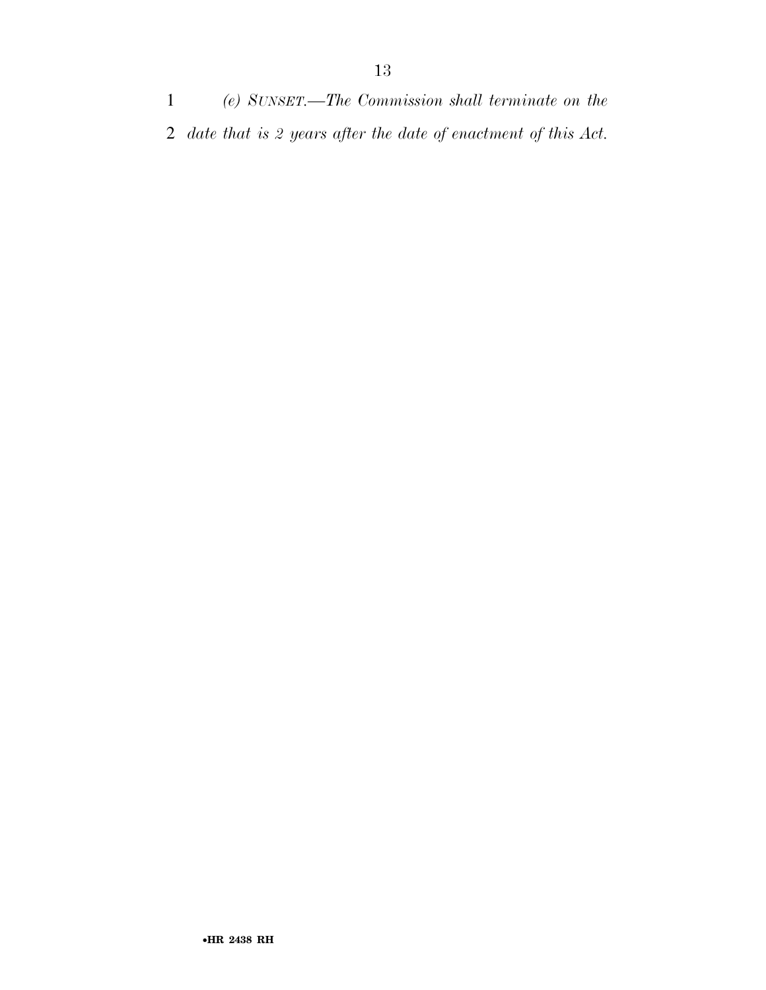*(e) SUNSET.—The Commission shall terminate on the date that is 2 years after the date of enactment of this Act.*